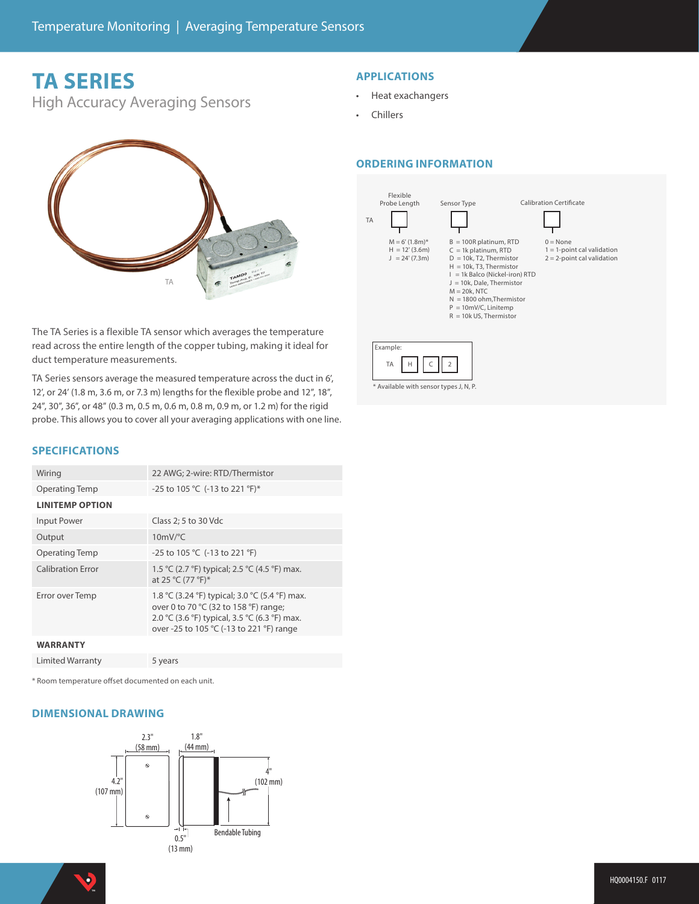## **TA SERIES**

High Accuracy Averaging Sensors



- Heat exachangers
- Chillers

### **ORDERING INFORMATION**



\* Available with sensor types J, N, P.



The TA Series is a flexible TA sensor which averages the temperature read across the entire length of the copper tubing, making it ideal for duct temperature measurements.

TA Series sensors average the measured temperature across the duct in 6', 12', or 24' (1.8 m, 3.6 m, or 7.3 m) lengths for the flexible probe and 12", 18", 24", 30", 36", or 48" (0.3 m, 0.5 m, 0.6 m, 0.8 m, 0.9 m, or 1.2 m) for the rigid probe. This allows you to cover all your averaging applications with one line.

#### **SPECIFICATIONS**

| Wiring                   | 22 AWG; 2-wire: RTD/Thermistor                                                                                                                                                       |
|--------------------------|--------------------------------------------------------------------------------------------------------------------------------------------------------------------------------------|
| <b>Operating Temp</b>    | -25 to 105 °C (-13 to 221 °F)*                                                                                                                                                       |
| <b>LINITEMP OPTION</b>   |                                                                                                                                                                                      |
| Input Power              | Class 2; 5 to 30 Vdc                                                                                                                                                                 |
| Output                   | $10mV$ <sup>o</sup> C                                                                                                                                                                |
| <b>Operating Temp</b>    | -25 to 105 °C (-13 to 221 °F)                                                                                                                                                        |
| <b>Calibration Error</b> | 1.5 °C (2.7 °F) typical; 2.5 °C (4.5 °F) max.<br>at 25 °C (77 °F)*                                                                                                                   |
| Error over Temp          | 1.8 °C (3.24 °F) typical; 3.0 °C (5.4 °F) max.<br>over 0 to 70 °C (32 to 158 °F) range;<br>2.0 °C (3.6 °F) typical, 3.5 °C (6.3 °F) max.<br>over -25 to 105 °C (-13 to 221 °F) range |
| <b>WARRANTY</b>          |                                                                                                                                                                                      |
| Limited Warranty         | 5 years                                                                                                                                                                              |

\* Room temperature offset documented on each unit.

#### **DIMENSIONAL DRAWING**